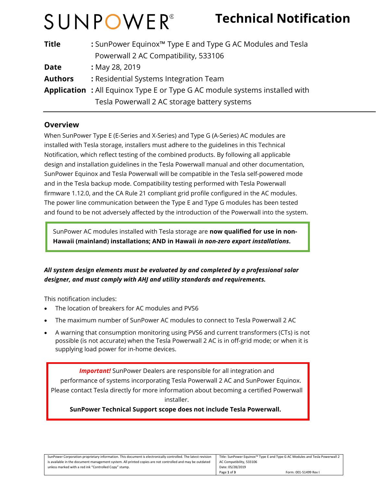# SUNPOWER®

## **Technical Notification**

| <b>Title</b>   | : SunPower Equinox <sup>™</sup> Type E and Type G AC Modules and Tesla            |  |
|----------------|-----------------------------------------------------------------------------------|--|
|                | Powerwall 2 AC Compatibility, 533106                                              |  |
| <b>Date</b>    | : May 28, 2019                                                                    |  |
| <b>Authors</b> | : Residential Systems Integration Team                                            |  |
|                | <b>Application:</b> All Equinox Type E or Type G AC module systems installed with |  |
|                | Tesla Powerwall 2 AC storage battery systems                                      |  |

#### **Overview**

When SunPower Type E (E-Series and X-Series) and Type G (A-Series) AC modules are installed with Tesla storage, installers must adhere to the guidelines in this Technical Notification, which reflect testing of the combined products. By following all applicable design and installation guidelines in the Tesla Powerwall manual and other documentation, SunPower Equinox and Tesla Powerwall will be compatible in the Tesla self-powered mode and in the Tesla backup mode. Compatibility testing performed with Tesla Powerwall firmware 1.12.0, and the CA Rule 21 compliant grid profile configured in the AC modules. The power line communication between the Type E and Type G modules has been tested and found to be not adversely affected by the introduction of the Powerwall into the system.

SunPower AC modules installed with Tesla storage are **now qualified for use in non-Hawaii (mainland) installations; AND in Hawaii** *in non-zero export installations***.** 

#### *All system design elements must be evaluated by and completed by a professional solar designer, and must comply with AHJ and utility standards and requirements.*

This notification includes:

- The location of breakers for AC modules and PVS6
- The maximum number of SunPower AC modules to connect to Tesla Powerwall 2 AC
- A warning that consumption monitoring using PVS6 and current transformers (CTs) is not possible (is not accurate) when the Tesla Powerwall 2 AC is in off-grid mode; or when it is supplying load power for in-home devices.

**Important!** SunPower Dealers are responsible for all integration and performance of systems incorporating Tesla Powerwall 2 AC and SunPower Equinox. Please contact Tesla directly for more information about becoming a certified Powerwall installer.

 **SunPower Technical Support scope does not include Tesla Powerwall.**

| SunPower Corporation proprietary information. This document is electronically controlled. The latest revision | Title: SunPower Equinox™ Type E and Type G AC Modules and Tesla Powerwall 2 |  |
|---------------------------------------------------------------------------------------------------------------|-----------------------------------------------------------------------------|--|
| is available in the document management system. All printed copies are not controlled and may be outdated     | AC Compatibility, 533106                                                    |  |
| unless marked with a red ink "Controlled Copy" stamp.                                                         | Date: 05/28/2019                                                            |  |
|                                                                                                               | Form: 001-51499 Rev I<br>Page 1 of 3                                        |  |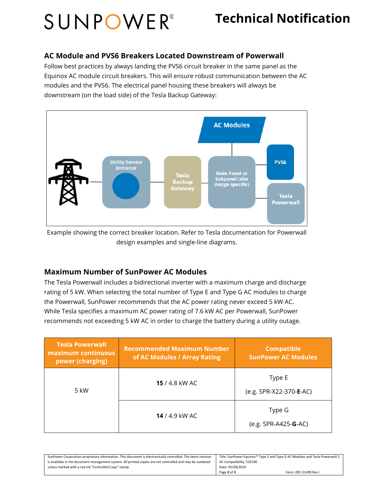# SUNPOWER®

### **Technical Notification**

#### **AC Module and PVS6 Breakers Located Downstream of Powerwall**

Follow best practices by always landing the PVS6 circuit breaker in the same panel as the Equinox AC module circuit breakers. This will ensure robust communication between the AC modules and the PVS6. The electrical panel housing these breakers will always be downstream (on the load side) of the Tesla Backup Gateway:



Example showing the correct breaker location. Refer to Tesla documentation for Powerwall design examples and single-line diagrams.

#### **Maximum Number of SunPower AC Modules**

The Tesla Powerwall includes a bidirectional inverter with a maximum charge and discharge rating of 5 kW. When selecting the total number of Type E and Type G AC modules to charge the Powerwall, SunPower recommends that the AC power rating never exceed 5 kW AC. While Tesla specifies a maximum AC power rating of 7.6 kW AC per Powerwall, SunPower recommends not exceeding 5 kW AC in order to charge the battery during a utility outage.

| <b>Tesla Powerwall</b><br>maximum continuous<br>power (charging) | <b>Recommended Maximum Number</b><br>of AC Modules / Array Rating | <b>Compatible</b><br><b>SunPower AC Modules</b> |
|------------------------------------------------------------------|-------------------------------------------------------------------|-------------------------------------------------|
| 5 kW                                                             | <b>15</b> / 4.8 kW AC                                             | Type E<br>(e.g. SPR-X22-370-E-AC)               |
|                                                                  | <b>14</b> / 4.9 kW AC                                             | Type G<br>(e.g. SPR-A425- <b>G</b> -AC)         |

| SunPower Corporation proprietary information. This document is electronically controlled. The latest revision | Title: SunPower Equinox <sup>™</sup> Type E and Type G AC Modules and Tesla Powerwall 2 |
|---------------------------------------------------------------------------------------------------------------|-----------------------------------------------------------------------------------------|
| is available in the document management system. All printed copies are not controlled and may be outdated     | AC Compatibility, 533106                                                                |
| unless marked with a red ink "Controlled Copy" stamp.                                                         | Date: 05/28/2019                                                                        |
|                                                                                                               | Page 2 of 3<br>Form: 001-51499 Rev I                                                    |